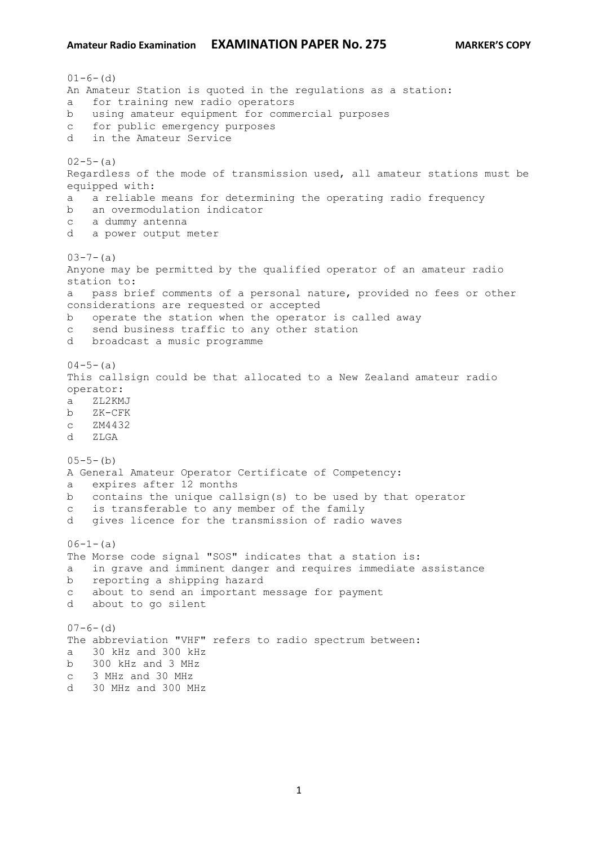```
01-6- (d)
An Amateur Station is quoted in the regulations as a station:
a for training new radio operators
b using amateur equipment for commercial purposes
c for public emergency purposes
d in the Amateur Service
02 - 5 - (a)Regardless of the mode of transmission used, all amateur stations must be 
equipped with:
a a reliable means for determining the operating radio frequency
b an overmodulation indicator
c a dummy antenna
d a power output meter
03-7-(a)Anyone may be permitted by the qualified operator of an amateur radio 
station to:
a pass brief comments of a personal nature, provided no fees or other 
considerations are requested or accepted
b operate the station when the operator is called away
c send business traffic to any other station
d broadcast a music programme
04-5- (a)
This callsign could be that allocated to a New Zealand amateur radio 
operator:
a ZL2KMJ
b ZK-CFK
c ZM4432
d ZLGA
05-5-(b)A General Amateur Operator Certificate of Competency:
a expires after 12 months
b contains the unique callsign(s) to be used by that operator
c is transferable to any member of the family
d gives licence for the transmission of radio waves
06-1-(a)The Morse code signal "SOS" indicates that a station is:
a in grave and imminent danger and requires immediate assistance
b reporting a shipping hazard
c about to send an important message for payment
d about to go silent
07-6- (d)
The abbreviation "VHF" refers to radio spectrum between:
a 30 kHz and 300 kHz
b 300 kHz and 3 MHz
c 3 MHz and 30 MHz
```
d 30 MHz and 300 MHz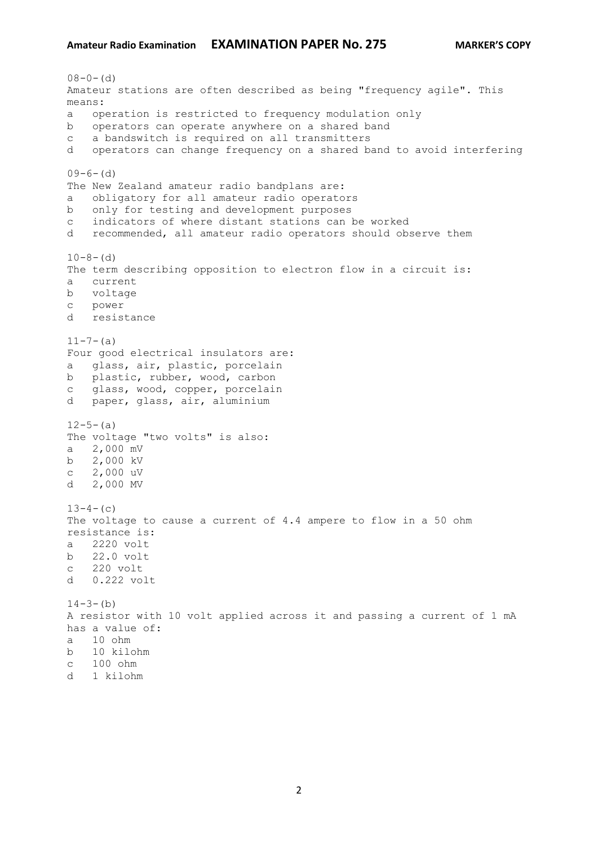```
08-0- (d)
Amateur stations are often described as being "frequency agile". This 
means:
a operation is restricted to frequency modulation only
b operators can operate anywhere on a shared band
c a bandswitch is required on all transmitters
d operators can change frequency on a shared band to avoid interfering
09-6-(d)The New Zealand amateur radio bandplans are:
a obligatory for all amateur radio operators
b only for testing and development purposes
c indicators of where distant stations can be worked
d recommended, all amateur radio operators should observe them
10-8- (d)
The term describing opposition to electron flow in a circuit is:
a current
b voltage 
c power
d resistance
11-7-(a)Four good electrical insulators are:
a glass, air, plastic, porcelain
b plastic, rubber, wood, carbon
c glass, wood, copper, porcelain
d paper, glass, air, aluminium
12 - 5 - (a)The voltage "two volts" is also:
a 2,000 mV
b 2,000 kV
c 2,000 uV
d 2,000 MV
13-4- (c)
The voltage to cause a current of 4.4 ampere to flow in a 50 ohm 
resistance is:
a 2220 volt
b 22.0 volt 
c 220 volt
d 0.222 volt
14-3-(b)A resistor with 10 volt applied across it and passing a current of 1 mA 
has a value of:
a 10 ohm
b 10 kilohm
c 100 ohm
d 1 kilohm
```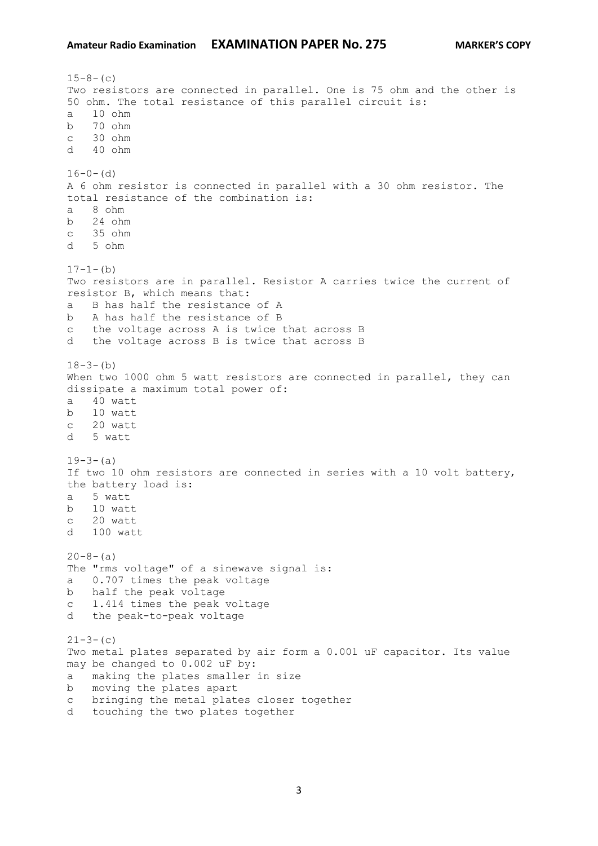```
15-8- (c)
Two resistors are connected in parallel. One is 75 ohm and the other is 
50 ohm. The total resistance of this parallel circuit is:
a 10 ohm
b 70 ohm 
c 30 ohm 
d 40 ohm 
16-0- (d)
A 6 ohm resistor is connected in parallel with a 30 ohm resistor. The 
total resistance of the combination is:
a 8 ohm
b 24 ohm
c 35 ohm 
d 5 ohm
17-1-(b)
Two resistors are in parallel. Resistor A carries twice the current of 
resistor B, which means that:
a B has half the resistance of A
b A has half the resistance of B 
c the voltage across A is twice that across B
d the voltage across B is twice that across B 
18-3-(b)When two 1000 ohm 5 watt resistors are connected in parallel, they can
dissipate a maximum total power of:
a 40 watt
b 10 watt 
c 20 watt 
d 5 watt
19-3-(a)If two 10 ohm resistors are connected in series with a 10 volt battery, 
the battery load is:
a 5 watt
b 10 watt
c 20 watt 
d 100 watt
20 - 8 - (a)The "rms voltage" of a sinewave signal is:
a 0.707 times the peak voltage
b half the peak voltage
c 1.414 times the peak voltage
d the peak-to-peak voltage
21-3-(c)
Two metal plates separated by air form a 0.001 uF capacitor. Its value 
may be changed to 0.002 uF by:
a making the plates smaller in size
b moving the plates apart
c bringing the metal plates closer together
d touching the two plates together
```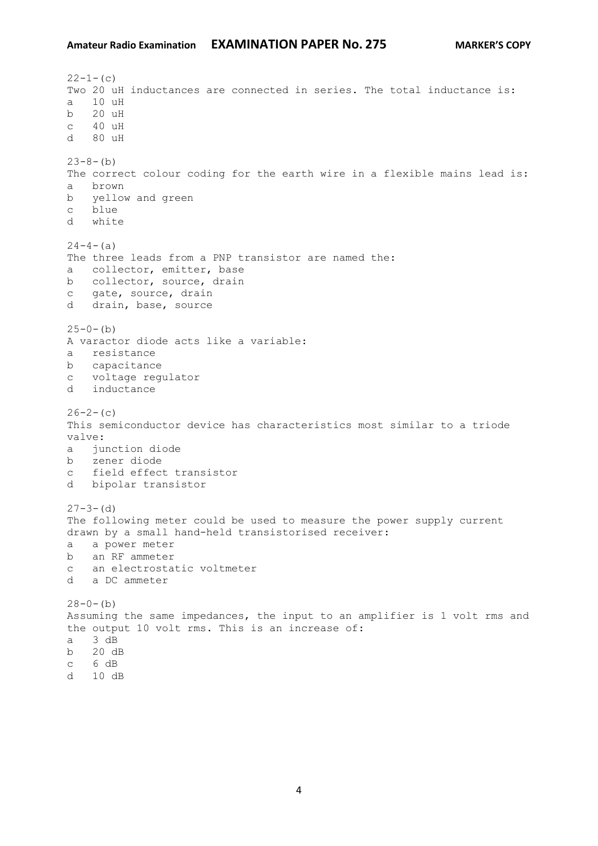$22-1-$ (c) Two 20 uH inductances are connected in series. The total inductance is: a 10 uH b 20 uH c 40 uH d 80 uH  $23-8-(b)$ The correct colour coding for the earth wire in a flexible mains lead is: a brown b yellow and green c blue d white  $24-4-(a)$ The three leads from a PNP transistor are named the: a collector, emitter, base b collector, source, drain c gate, source, drain d drain, base, source  $25-0-(b)$ A varactor diode acts like a variable: a resistance b capacitance c voltage regulator d inductance  $26-2-(c)$ This semiconductor device has characteristics most similar to a triode valve: a junction diode b zener diode c field effect transistor d bipolar transistor  $27 - 3 - (d)$ The following meter could be used to measure the power supply current drawn by a small hand-held transistorised receiver: a a power meter b an RF ammeter c an electrostatic voltmeter d a DC ammeter  $28-0-(b)$ Assuming the same impedances, the input to an amplifier is 1 volt rms and the output 10 volt rms. This is an increase of: a 3 dB b 20 dB c 6 dB d 10 dB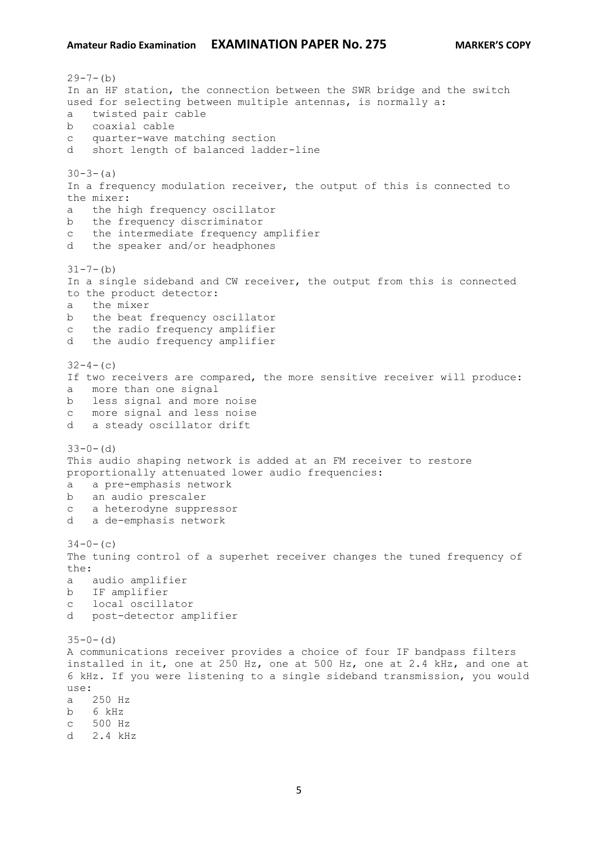$29 - 7 - (b)$ In an HF station, the connection between the SWR bridge and the switch used for selecting between multiple antennas, is normally a: a twisted pair cable b coaxial cable c quarter-wave matching section d short length of balanced ladder-line  $30-3-(a)$ In a frequency modulation receiver, the output of this is connected to the mixer: a the high frequency oscillator b the frequency discriminator c the intermediate frequency amplifier d the speaker and/or headphones  $31 - 7 - (b)$ In a single sideband and CW receiver, the output from this is connected to the product detector: a the mixer b the beat frequency oscillator c the radio frequency amplifier d the audio frequency amplifier  $32-4-(c)$ If two receivers are compared, the more sensitive receiver will produce: a more than one signal b less signal and more noise c more signal and less noise d a steady oscillator drift  $33-0-$  (d) This audio shaping network is added at an FM receiver to restore proportionally attenuated lower audio frequencies: a a pre-emphasis network b an audio prescaler c a heterodyne suppressor d a de-emphasis network  $34-0-$  (c) The tuning control of a superhet receiver changes the tuned frequency of the: a audio amplifier b IF amplifier c local oscillator d post-detector amplifier  $35-0-$  (d) A communications receiver provides a choice of four IF bandpass filters installed in it, one at 250 Hz, one at 500 Hz, one at 2.4 kHz, and one at 6 kHz. If you were listening to a single sideband transmission, you would use: a 250 Hz b 6 kHz c 500 Hz d 2.4 kHz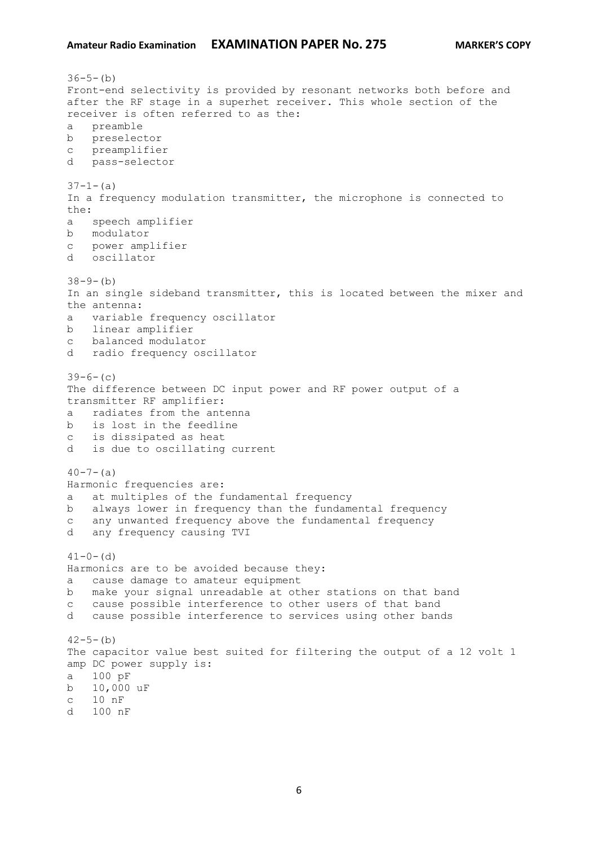```
36-5-(b)Front-end selectivity is provided by resonant networks both before and 
after the RF stage in a superhet receiver. This whole section of the 
receiver is often referred to as the:
a preamble
b preselector
c preamplifier
d pass-selector
37-1-(a)In a frequency modulation transmitter, the microphone is connected to 
the:
a speech amplifier
b modulator
c power amplifier
d oscillator
38-9-(b)In an single sideband transmitter, this is located between the mixer and 
the antenna:
a variable frequency oscillator
b linear amplifier
c balanced modulator
d radio frequency oscillator
39-6-(c)The difference between DC input power and RF power output of a 
transmitter RF amplifier:
a radiates from the antenna
b is lost in the feedline
c is dissipated as heat
d is due to oscillating current
40 - 7 - (a)Harmonic frequencies are:
a at multiples of the fundamental frequency
b always lower in frequency than the fundamental frequency
c any unwanted frequency above the fundamental frequency
d any frequency causing TVI
41-0- (d)
Harmonics are to be avoided because they:
a cause damage to amateur equipment
b make your signal unreadable at other stations on that band
c cause possible interference to other users of that band
d cause possible interference to services using other bands
42 - 5 - (b)The capacitor value best suited for filtering the output of a 12 volt 1 
amp DC power supply is:
a 100 pF
b 10,000 uF
c 10 nF
d 100 nF
```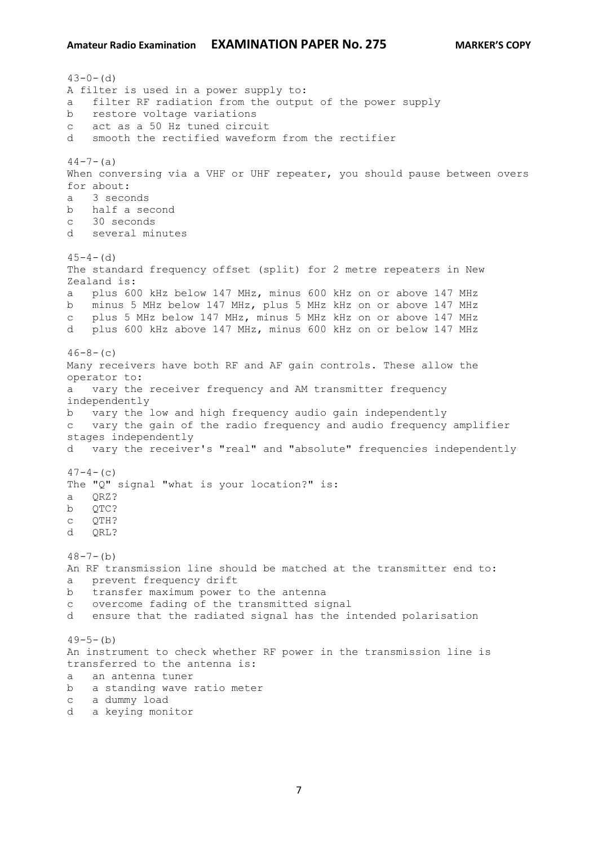$43-0-$  (d) A filter is used in a power supply to: a filter RF radiation from the output of the power supply b restore voltage variations c act as a 50 Hz tuned circuit d smooth the rectified waveform from the rectifier  $44-7-(a)$ When conversing via a VHF or UHF repeater, you should pause between overs for about: a 3 seconds b half a second c 30 seconds d several minutes  $45-4-$  (d) The standard frequency offset (split) for 2 metre repeaters in New Zealand is: a plus 600 kHz below 147 MHz, minus 600 kHz on or above 147 MHz b minus 5 MHz below 147 MHz, plus 5 MHz kHz on or above 147 MHz c plus 5 MHz below 147 MHz, minus 5 MHz kHz on or above 147 MHz d plus 600 kHz above 147 MHz, minus 600 kHz on or below 147 MHz  $46-8-$  (c) Many receivers have both RF and AF gain controls. These allow the operator to: a vary the receiver frequency and AM transmitter frequency independently b vary the low and high frequency audio gain independently c vary the gain of the radio frequency and audio frequency amplifier stages independently d vary the receiver's "real" and "absolute" frequencies independently  $47-4-$  (c) The "Q" signal "what is your location?" is: a QRZ? b QTC? c QTH? d QRL?  $48 - 7 - (b)$ An RF transmission line should be matched at the transmitter end to: a prevent frequency drift b transfer maximum power to the antenna c overcome fading of the transmitted signal d ensure that the radiated signal has the intended polarisation  $49-5-(b)$ An instrument to check whether RF power in the transmission line is transferred to the antenna is: a an antenna tuner b a standing wave ratio meter c a dummy load d a keying monitor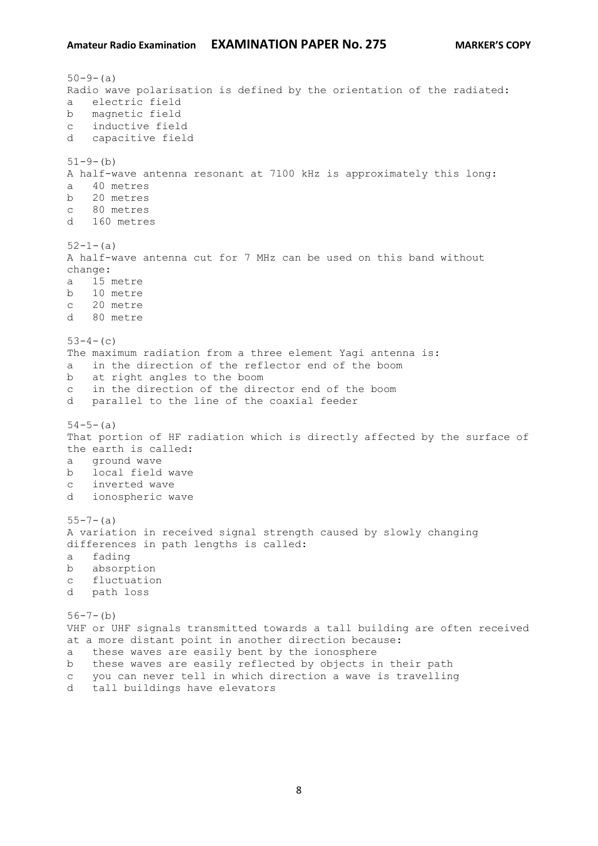```
50-9-(a)
Radio wave polarisation is defined by the orientation of the radiated:
a electric field
b magnetic field
c inductive field
d capacitive field
51-9-(b)A half-wave antenna resonant at 7100 kHz is approximately this long:
a 40 metres
b 20 metres
c 80 metres
d 160 metres
52 - 1 - (a)A half-wave antenna cut for 7 MHz can be used on this band without 
change:
a 15 metre
b 10 metre
c 20 metre
d 80 metre
53-4-(c)The maximum radiation from a three element Yagi antenna is:
a in the direction of the reflector end of the boom
b at right angles to the boom
c in the direction of the director end of the boom
d parallel to the line of the coaxial feeder
54-5-(a)That portion of HF radiation which is directly affected by the surface of 
the earth is called:
a ground wave
b local field wave
c inverted wave
d ionospheric wave
55 - 7 - (a)A variation in received signal strength caused by slowly changing 
differences in path lengths is called:
a fading
b absorption
c fluctuation
d path loss
56-7-(b)VHF or UHF signals transmitted towards a tall building are often received
at a more distant point in another direction because:
a these waves are easily bent by the ionosphere
b these waves are easily reflected by objects in their path
c you can never tell in which direction a wave is travelling
d tall buildings have elevators
```